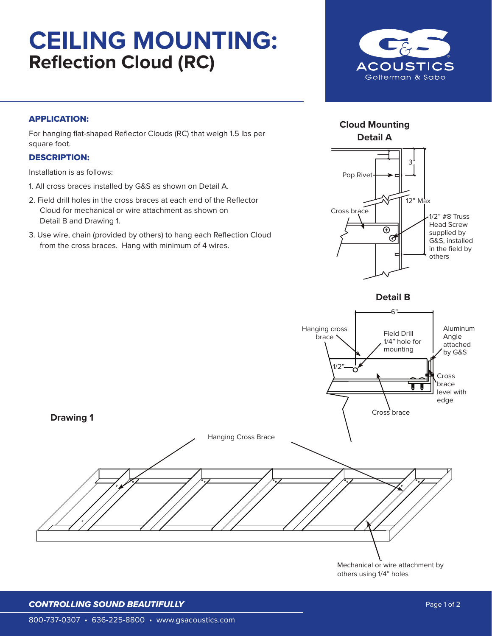# **CEILING MOUNTING: Reflection Cloud (RC)**



### APPLICATION:

For hanging flat-shaped Reflector Clouds (RC) that weigh 1.5 lbs per square foot.

#### DESCRIPTION:

Installation is as follows:

- 1. All cross braces installed by G&S as shown on Detail A.
- 2. Field drill holes in the cross braces at each end of the Reflector Cloud for mechanical or wire attachment as shown on Detail B and Drawing 1.
- 3. Use wire, chain (provided by others) to hang each Reflection Cloud from the cross braces. Hang with minimum of 4 wires.



**Cloud Mounting** 



*CONTROLLING SOUND BEAUTIFULLY*